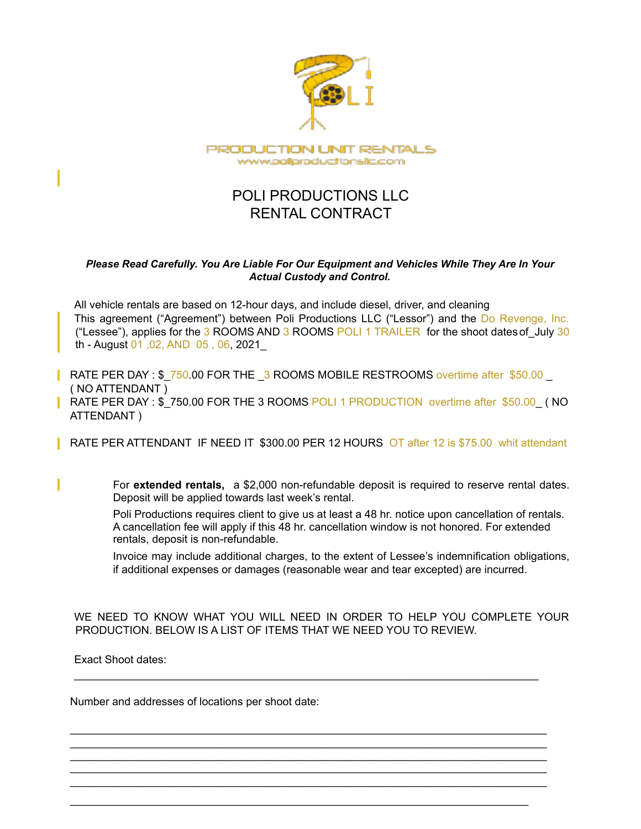

# POLI PRODUCTIONS LLC RENTAL CONTRACT

### *Please Read Carefully. You Are Liable For Our Equipment and Vehicles While They Are In Your Actual Custody and Control.*

All vehicle rentals are based on 12-hour days, and include diesel, driver, and cleaning This agreement ("Agreement") between Poli Productions LLC ("Lessor") and the Do Revenge, Inc. ("Lessee"), applies for the  $3$  ROOMS AND  $3$  ROOMS POLI 1 TRAILER for the shoot dates of July 30 th - August 01 ,02, AND 05 , 06, 2021\_

RATE PER DAY : \$ 750.00 FOR THE \_3 ROOMS MOBILE RESTROOMS overtime after \$50.00 ( NO ATTENDANT ) **RATE PER DAY : \$ 750.00 FOR THE 3 ROOMS POLI 1 PRODUCTION overtime after \$50.00 ( NO** ATTENDANT )

RATE PER ATTENDANT IF NEED IT \$300.00 PER 12 HOURS OT after 12 is \$75.00 whit attendant

For **extended rentals,** a \$2,000 non-refundable deposit is required to reserve rental dates. Deposit will be applied towards last week's rental.

Poli Productions requires client to give us at least a 48 hr. notice upon cancellation of rentals. A cancellation fee will apply if this 48 hr. cancellation window is not honored. For extended rentals, deposit is non-refundable.

Invoice may include additional charges, to the extent of Lessee's indemnification obligations, if additional expenses or damages (reasonable wear and tear excepted) are incurred.

WE NEED TO KNOW WHAT YOU WILL NEED IN ORDER TO HELP YOU COMPLETE YOUR PRODUCTION. BELOW IS A LIST OF ITEMS THAT WE NEED YOU TO REVIEW.

\_\_\_\_\_\_\_\_\_\_\_\_\_\_\_\_\_\_\_\_\_\_\_\_\_\_\_\_\_\_\_\_\_\_\_\_\_\_\_\_\_\_\_\_\_\_\_\_\_\_\_\_\_\_\_\_\_\_\_\_\_\_\_\_\_\_\_\_\_\_\_\_\_\_\_\_

 $\Box$ \_\_\_\_\_\_\_\_\_\_\_\_\_\_\_\_\_\_\_\_\_\_\_\_\_\_\_\_\_\_\_\_\_\_\_\_\_\_\_\_\_\_\_\_\_\_\_\_\_\_\_\_\_\_\_\_\_\_\_\_\_\_\_\_\_\_\_\_\_\_\_\_\_\_\_\_\_\_ \_\_\_\_\_\_\_\_\_\_\_\_\_\_\_\_\_\_\_\_\_\_\_\_\_\_\_\_\_\_\_\_\_\_\_\_\_\_\_\_\_\_\_\_\_\_\_\_\_\_\_\_\_\_\_\_\_\_\_\_\_\_\_\_\_\_\_\_\_\_\_\_\_\_\_\_\_\_ \_\_\_\_\_\_\_\_\_\_\_\_\_\_\_\_\_\_\_\_\_\_\_\_\_\_\_\_\_\_\_\_\_\_\_\_\_\_\_\_\_\_\_\_\_\_\_\_\_\_\_\_\_\_\_\_\_\_\_\_\_\_\_\_\_\_\_\_\_\_\_\_\_\_\_\_\_\_ \_\_\_\_\_\_\_\_\_\_\_\_\_\_\_\_\_\_\_\_\_\_\_\_\_\_\_\_\_\_\_\_\_\_\_\_\_\_\_\_\_\_\_\_\_\_\_\_\_\_\_\_\_\_\_\_\_\_\_\_\_\_\_\_\_\_\_\_\_\_\_\_\_\_\_\_\_\_

\_\_\_\_\_\_\_\_\_\_\_\_\_\_\_\_\_\_\_\_\_\_\_\_\_\_\_\_\_\_\_\_\_\_\_\_\_\_\_\_\_\_\_\_\_\_\_\_\_\_\_\_\_\_\_\_\_\_\_\_\_\_\_\_\_\_\_\_\_\_\_\_\_\_\_

Exact Shoot dates:

Number and addresses of locations per shoot date: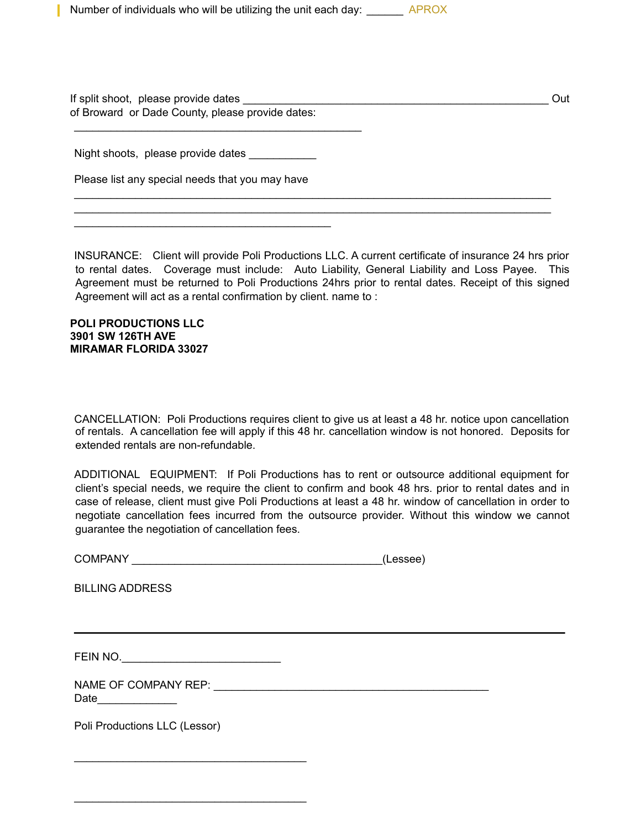Number of individuals who will be utilizing the unit each day: APROX

If split shoot, please provide dates \_\_\_\_\_\_\_\_\_\_\_\_\_\_\_\_\_\_\_\_\_\_\_\_\_\_\_\_\_\_\_\_\_\_\_\_\_\_\_\_\_\_\_\_\_\_\_\_\_\_ Out of Broward or Dade County, please provide dates:

\_\_\_\_\_\_\_\_\_\_\_\_\_\_\_\_\_\_\_\_\_\_\_\_\_\_\_\_\_\_\_\_\_\_\_\_\_\_\_\_\_\_\_\_\_\_\_\_\_\_\_\_\_\_\_\_\_\_\_\_\_\_\_\_\_\_\_\_\_\_\_\_\_\_\_\_\_\_  $\mathcal{L}_\mathcal{L}$  , and the contribution of the contribution of the contribution of the contribution of the contribution of the contribution of the contribution of the contribution of the contribution of the contribution of

Night shoots, please provide dates

\_\_\_\_\_\_\_\_\_\_\_\_\_\_\_\_\_\_\_\_\_\_\_\_\_\_\_\_\_\_\_\_\_\_\_\_\_\_\_\_\_\_\_\_\_\_\_

Please list any special needs that you may have

\_\_\_\_\_\_\_\_\_\_\_\_\_\_\_\_\_\_\_\_\_\_\_\_\_\_\_\_\_\_\_\_\_\_\_\_\_\_\_\_\_\_

INSURANCE: Client will provide Poli Productions LLC. A current certificate of insurance 24 hrs prior to rental dates. Coverage must include: Auto Liability, General Liability and Loss Payee. This Agreement must be returned to Poli Productions 24hrs prior to rental dates. Receipt of this signed Agreement will act as a rental confirmation by client. name to :

#### **POLI PRODUCTIONS LLC 3901 SW 126TH AVE MIRAMAR FLORIDA 33027**

CANCELLATION: Poli Productions requires client to give us at least a 48 hr. notice upon cancellation of rentals. A cancellation fee will apply if this 48 hr. cancellation window is not honored. Deposits for extended rentals are non-refundable.

ADDITIONAL EQUIPMENT: If Poli Productions has to rent or outsource additional equipment for client's special needs, we require the client to confirm and book 48 hrs. prior to rental dates and in case of release, client must give Poli Productions at least a 48 hr. window of cancellation in order to negotiate cancellation fees incurred from the outsource provider. Without this window we cannot guarantee the negotiation of cancellation fees.

| <b>COMPANY</b> |  | (Lessee) |
|----------------|--|----------|
|----------------|--|----------|

BILLING ADDRESS

FEIN NO.

\_\_\_\_\_\_\_\_\_\_\_\_\_\_\_\_\_\_\_\_\_\_\_\_\_\_\_\_\_\_\_\_\_\_\_\_\_\_

\_\_\_\_\_\_\_\_\_\_\_\_\_\_\_\_\_\_\_\_\_\_\_\_\_\_\_\_\_\_\_\_\_\_\_\_\_\_

NAME OF COMPANY REP: \_\_\_\_\_\_\_\_\_\_\_\_\_\_\_\_\_\_\_\_\_\_\_\_\_\_\_\_\_\_\_\_\_\_\_\_\_\_\_\_\_\_\_\_\_ Date\_\_\_\_\_\_\_\_\_\_\_\_\_

Poli Productions LLC (Lessor)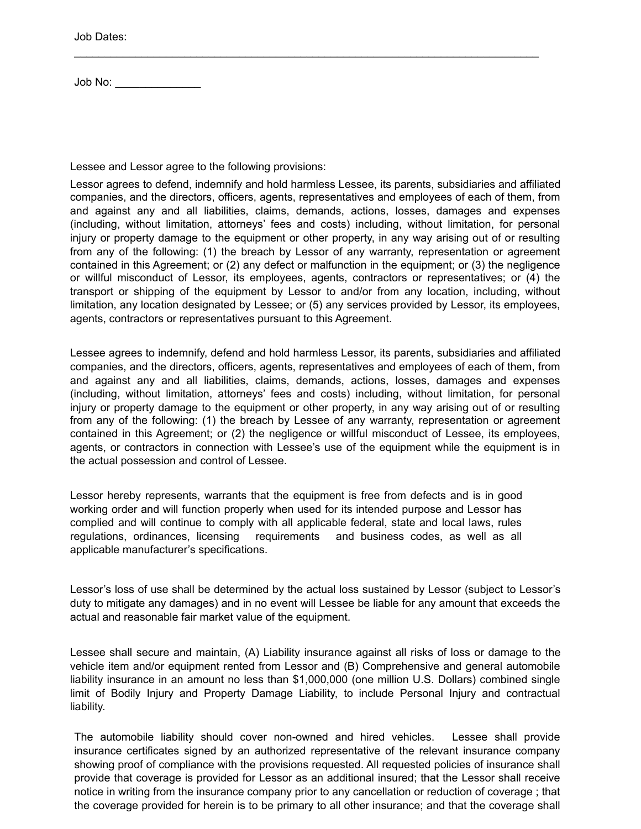Job Dates:

Job No: \_\_\_\_\_\_\_\_\_\_\_\_\_\_

Lessee and Lessor agree to the following provisions:

Lessor agrees to defend, indemnify and hold harmless Lessee, its parents, subsidiaries and affiliated companies, and the directors, officers, agents, representatives and employees of each of them, from and against any and all liabilities, claims, demands, actions, losses, damages and expenses (including, without limitation, attorneys' fees and costs) including, without limitation, for personal injury or property damage to the equipment or other property, in any way arising out of or resulting from any of the following: (1) the breach by Lessor of any warranty, representation or agreement contained in this Agreement; or (2) any defect or malfunction in the equipment; or (3) the negligence or willful misconduct of Lessor, its employees, agents, contractors or representatives; or (4) the transport or shipping of the equipment by Lessor to and/or from any location, including, without limitation, any location designated by Lessee; or (5) any services provided by Lessor, its employees, agents, contractors or representatives pursuant to this Agreement.

\_\_\_\_\_\_\_\_\_\_\_\_\_\_\_\_\_\_\_\_\_\_\_\_\_\_\_\_\_\_\_\_\_\_\_\_\_\_\_\_\_\_\_\_\_\_\_\_\_\_\_\_\_\_\_\_\_\_\_\_\_\_\_\_\_\_\_\_\_\_\_\_\_\_\_\_

Lessee agrees to indemnify, defend and hold harmless Lessor, its parents, subsidiaries and affiliated companies, and the directors, officers, agents, representatives and employees of each of them, from and against any and all liabilities, claims, demands, actions, losses, damages and expenses (including, without limitation, attorneys' fees and costs) including, without limitation, for personal injury or property damage to the equipment or other property, in any way arising out of or resulting from any of the following: (1) the breach by Lessee of any warranty, representation or agreement contained in this Agreement; or (2) the negligence or willful misconduct of Lessee, its employees, agents, or contractors in connection with Lessee's use of the equipment while the equipment is in the actual possession and control of Lessee.

Lessor hereby represents, warrants that the equipment is free from defects and is in good working order and will function properly when used for its intended purpose and Lessor has complied and will continue to comply with all applicable federal, state and local laws, rules regulations, ordinances, licensing requirements and business codes, as well as all applicable manufacturer's specifications.

Lessor's loss of use shall be determined by the actual loss sustained by Lessor (subject to Lessor's duty to mitigate any damages) and in no event will Lessee be liable for any amount that exceeds the actual and reasonable fair market value of the equipment.

Lessee shall secure and maintain, (A) Liability insurance against all risks of loss or damage to the vehicle item and/or equipment rented from Lessor and (B) Comprehensive and general automobile liability insurance in an amount no less than \$1,000,000 (one million U.S. Dollars) combined single limit of Bodily Injury and Property Damage Liability, to include Personal Injury and contractual liability.

The automobile liability should cover non-owned and hired vehicles. Lessee shall provide insurance certificates signed by an authorized representative of the relevant insurance company showing proof of compliance with the provisions requested. All requested policies of insurance shall provide that coverage is provided for Lessor as an additional insured; that the Lessor shall receive notice in writing from the insurance company prior to any cancellation or reduction of coverage ; that the coverage provided for herein is to be primary to all other insurance; and that the coverage shall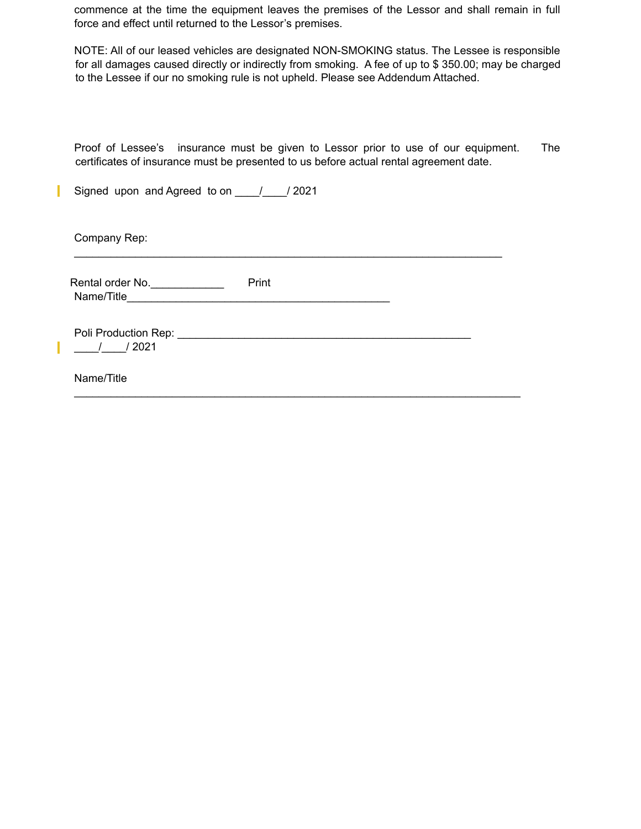commence at the time the equipment leaves the premises of the Lessor and shall remain in full force and effect until returned to the Lessor's premises.

NOTE: All of our leased vehicles are designated NON-SMOKING status. The Lessee is responsible for all damages caused directly or indirectly from smoking. A fee of up to \$ 350.00; may be charged to the Lessee if our no smoking rule is not upheld. Please see Addendum Attached.

Proof of Lessee's insurance must be given to Lessor prior to use of our equipment. The certificates of insurance must be presented to us before actual rental agreement date.

 $\mathcal{L}_\mathcal{L}$  , and the set of the set of the set of the set of the set of the set of the set of the set of the set of the set of the set of the set of the set of the set of the set of the set of the set of the set of th

\_\_\_\_\_\_\_\_\_\_\_\_\_\_\_\_\_\_\_\_\_\_\_\_\_\_\_\_\_\_\_\_\_\_\_\_\_\_\_\_\_\_\_\_\_\_\_\_\_\_\_\_\_\_\_\_\_\_\_\_\_\_\_\_\_\_\_\_\_\_\_\_\_

Signed upon and Agreed to on 1 / 2021

Company Rep:

ı

Rental order No. Note that the Print Name/Title\_\_\_\_\_\_\_\_\_\_\_\_\_\_\_\_\_\_\_\_\_\_\_\_\_\_\_\_\_\_\_\_\_\_\_\_\_\_\_\_\_\_\_

Poli Production Rep: \_\_\_\_\_\_\_\_\_\_\_\_\_\_\_\_\_\_\_\_\_\_\_\_\_\_\_\_\_\_\_\_\_\_\_\_\_\_\_\_\_\_\_\_\_\_\_\_  $\frac{1}{2021}$ 

Name/Title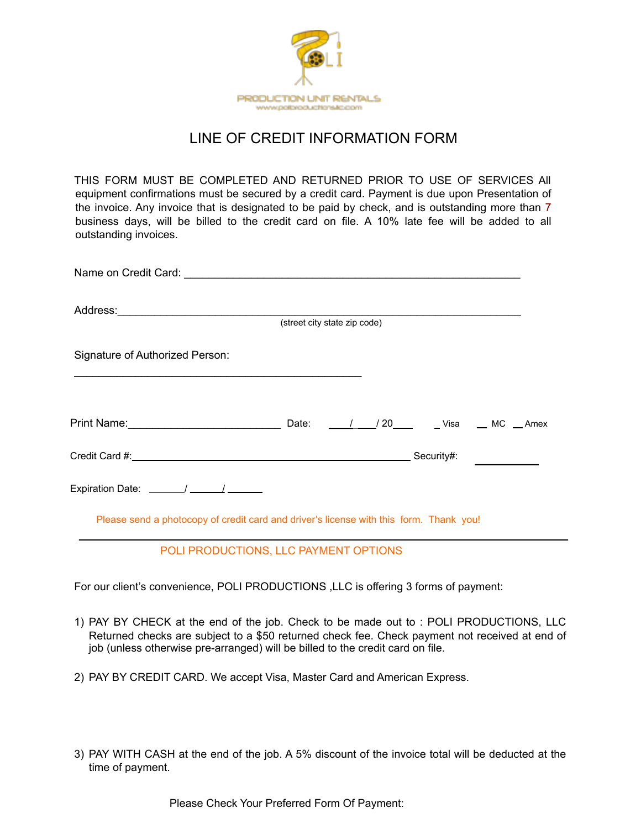

## LINE OF CREDIT INFORMATION FORM

THIS FORM MUST BE COMPLETED AND RETURNED PRIOR TO USE OF SERVICES All equipment confirmations must be secured by a credit card. Payment is due upon Presentation of the invoice. Any invoice that is designated to be paid by check, and is outstanding more than 7 business days, will be billed to the credit card on file. A 10% late fee will be added to all outstanding invoices.

| (street city state zip code)                                                                                                                                                                                                                                                                     |       |  |  |                     |  |  |  |
|--------------------------------------------------------------------------------------------------------------------------------------------------------------------------------------------------------------------------------------------------------------------------------------------------|-------|--|--|---------------------|--|--|--|
| Signature of Authorized Person:                                                                                                                                                                                                                                                                  |       |  |  |                     |  |  |  |
| Print Name: <u>2008 - 2008 - 2009 - 2009 - 2010</u>                                                                                                                                                                                                                                              | Date: |  |  | 1 / 20 Visa MC Amex |  |  |  |
|                                                                                                                                                                                                                                                                                                  |       |  |  |                     |  |  |  |
| Expiration Date: $\frac{1}{2}$ / $\frac{1}{2}$ / $\frac{1}{2}$ / $\frac{1}{2}$ / $\frac{1}{2}$ / $\frac{1}{2}$ / $\frac{1}{2}$ / $\frac{1}{2}$ / $\frac{1}{2}$ / $\frac{1}{2}$ / $\frac{1}{2}$ / $\frac{1}{2}$ / $\frac{1}{2}$ / $\frac{1}{2}$ / $\frac{1}{2}$ / $\frac{1}{2}$ / $\frac{1}{2}$ / |       |  |  |                     |  |  |  |

Please send a photocopy of credit card and driver's license with this form. Thank you!

## POLI PRODUCTIONS, LLC PAYMENT OPTIONS

For our client's convenience, POLI PRODUCTIONS ,LLC is offering 3 forms of payment:

- 1) PAY BY CHECK at the end of the job. Check to be made out to : POLI PRODUCTIONS, LLC Returned checks are subject to a \$50 returned check fee. Check payment not received at end of job (unless otherwise pre-arranged) will be billed to the credit card on file.
- 2) PAY BY CREDIT CARD. We accept Visa, Master Card and American Express.
- 3) PAY WITH CASH at the end of the job. A 5% discount of the invoice total will be deducted at the time of payment.

Please Check Your Preferred Form Of Payment: